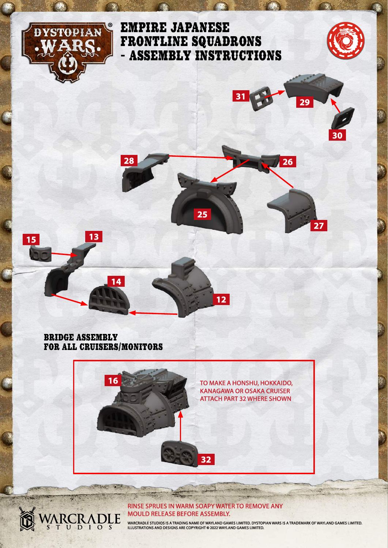

**15**

# EMPIRE JAPANESE FRONTLINE SQUADRONS - ASSEMBLY INSTRUCTIONS



**30**

**<sup>31</sup> <sup>29</sup>**

**26**

**27**



**12**

BRIDGE ASSEMBLY FOR ALL CRUISERS/MONITORS

**CONTRACTOR** 

ARCRADI

120000

LE

**13**

**14**



#### RINSE SPRUES IN WARM SOAPY WATER TO REMOVE ANY MOULD RELEASE BEFORE ASSEMBLY.

WARCRADLE STUDIOS IS A TRADING NAME OF WAYLAND GAMES LIMITED. DYSTOPIAN WARS IS A TRADEMARK OF WAYLAND GAMES LIMITED.<br>ILLUSTRATIONS AND DESIGNS ARE COPYRIGHT © 2022 WAYLAND GAMES LIMITED.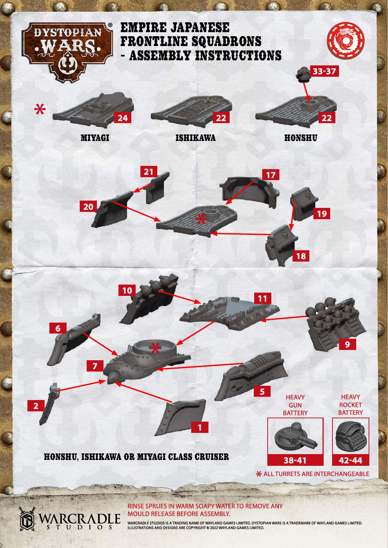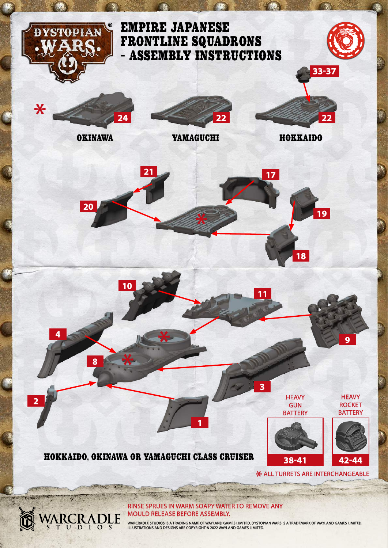

WARCRADLE STUDIOS IS A TRADING NAME OF WAYLAND GAMES LIMITED. DYSTOPIAN WARS IS A TRADEMARK OF WAYLAND GAMES LIMITED.<br>ILLUSTRATIONS AND DESIGNS ARE COPYRIGHT © 2022 WAYLAND GAMES LIMITED.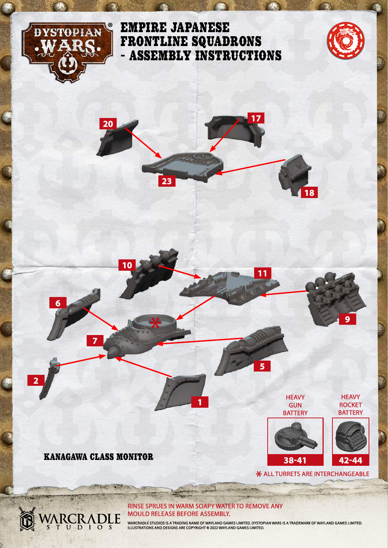

# EMPIRE JAPANESE FRONTLINE SQUADRONS - ASSEMBLY INSTRUCTIONS





KANAGAWA CLASS MONITOR

**CARD TO BE** 

ARCRADLE

**REAL** 

**7**

**6**

**2**

**10**

### RINSE SPRUES IN WARM SOAPY WATER TO REMOVE ANY MOULD RELEASE BEFORE ASSEMBLY.

**1**

WARCRADLE STUDIOS IS A TRADING NAME OF WAYLAND GAMES LIMITED. DYSTOPIAN WARS IS A TRADEMARK OF WAYLAND GAMES LIMITED.<br>ILLUSTRATIONS AND DESIGNS ARE COPYRIGHT © 2022 WAYLAND GAMES LIMITED.

\* ALL TURRETS ARE INTERCHANGEABLE

**HEAVY** GUN **BATTERY** 

**11**

**5**

**38-41**

**HEAVY ROCKET BATTERY** 

**9**

**42-44**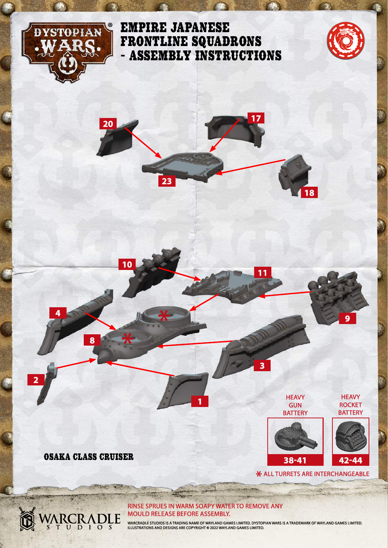

# EMPIRE JAPANESE FRONTLINE SQUADRONS - ASSEMBLY INSTRUCTIONS



**9**

**HEAVY ROCKET BATTERY** 

**42-44**

\* ALL TURRETS ARE INTERCHANGEABLE

**HEAVY** GUN **BATTERY** 

**38-41**



OSAKA CLASS CRUISER

ARCRADLE

**CARD TO BE** 

**REAL** 

**8**

**4**

**2**

**10**

### RINSE SPRUES IN WARM SOAPY WATER TO REMOVE ANY MOULD RELEASE BEFORE ASSEMBLY.

**1**

WARCRADLE STUDIOS IS A TRADING NAME OF WAYLAND GAMES LIMITED. DYSTOPIAN WARS IS A TRADEMARK OF WAYLAND GAMES LIMITED.<br>ILLUSTRATIONS AND DESIGNS ARE COPYRIGHT © 2022 WAYLAND GAMES LIMITED.

**11**

**3**